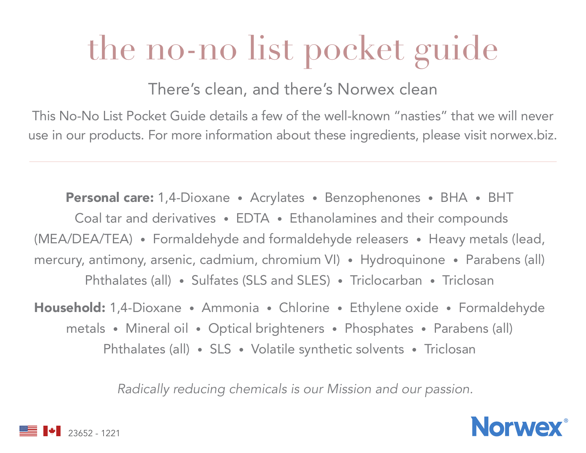## the no-no list pocket guide

There's clean, and there's Norwex clean

This No-No List Pocket Guide details a few of the well-known "nasties" that we will never use in our products. For more information about these ingredients, please visit norwex.biz.

Personal care: 1,4-Dioxane • Acrylates • Benzophenones • BHA • BHT Coal tar and derivatives • EDTA • Ethanolamines and their compounds (MEA/DEA/TEA) • Formaldehyde and formaldehyde releasers • Heavy metals (lead, mercury, antimony, arsenic, cadmium, chromium VI) • Hydroquinone • Parabens (all) Phthalates (all) • Sulfates (SLS and SLES) • Triclocarban • Triclosan

Household: 1,4-Dioxane • Ammonia • Chlorine • Ethylene oxide • Formaldehyde metals • Mineral oil • Optical brighteners • Phosphates • Parabens (all) Phthalates (all) • SLS • Volatile synthetic solvents • Triclosan

*Radically reducing chemicals is our Mission and our passion.*